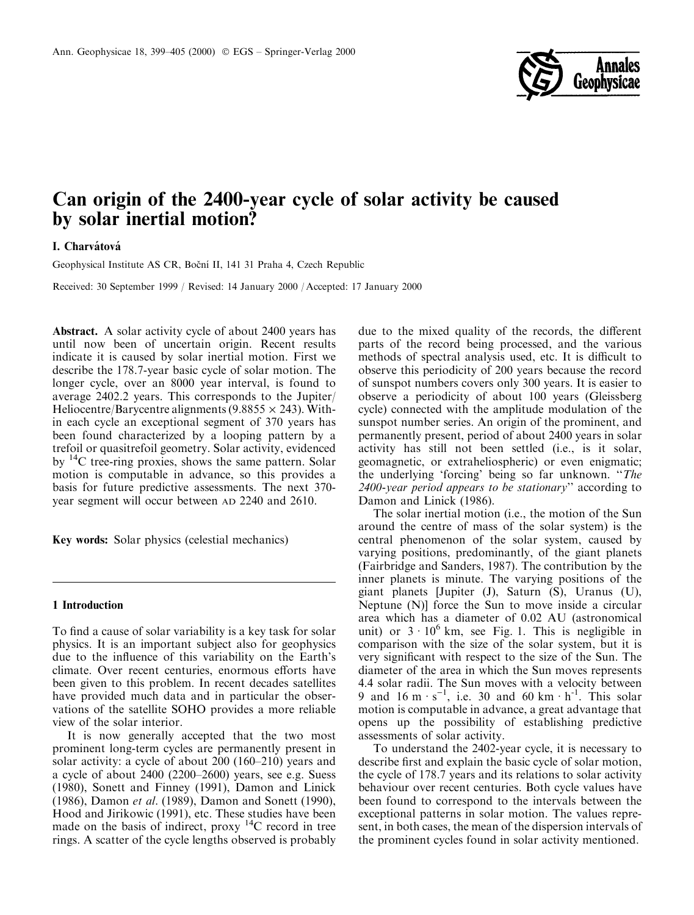

# Can origin of the 2400-year cycle of solar activity be caused by solar inertial motion?

## I. Charvátová

Geophysical Institute AS CR, Boční II, 141 31 Praha 4, Czech Republic

Received: 30 September 1999 / Revised: 14 January 2000 / Accepted: 17 January 2000

Abstract. A solar activity cycle of about 2400 years has until now been of uncertain origin. Recent results indicate it is caused by solar inertial motion. First we describe the 178.7-year basic cycle of solar motion. The longer cycle, over an 8000 year interval, is found to average 2402.2 years. This corresponds to the Jupiter/ Heliocentre/Barycentre alignments (9.8855  $\times$  243). Within each cycle an exceptional segment of 370 years has been found characterized by a looping pattern by a trefoil or quasitrefoil geometry. Solar activity, evidenced by 14C tree-ring proxies, shows the same pattern. Solar motion is computable in advance, so this provides a basis for future predictive assessments. The next 370 year segment will occur between AD 2240 and 2610.

Key words: Solar physics (celestial mechanics)

#### 1 Introduction

To find a cause of solar variability is a key task for solar physics. It is an important subject also for geophysics due to the influence of this variability on the Earth's climate. Over recent centuries, enormous efforts have been given to this problem. In recent decades satellites have provided much data and in particular the observations of the satellite SOHO provides a more reliable view of the solar interior.

It is now generally accepted that the two most prominent long-term cycles are permanently present in solar activity: a cycle of about  $200$  (160–210) years and a cycle of about  $2400 (2200–2600)$  years, see e.g. Suess (1980), Sonett and Finney (1991), Damon and Linick (1986), Damon et al. (1989), Damon and Sonett (1990), Hood and Jirikowic (1991), etc. These studies have been made on the basis of indirect, proxy  $^{14}$ C record in tree rings. A scatter of the cycle lengths observed is probably

due to the mixed quality of the records, the different parts of the record being processed, and the various methods of spectral analysis used, etc. It is difficult to observe this periodicity of 200 years because the record of sunspot numbers covers only 300 years. It is easier to observe a periodicity of about 100 years (Gleissberg cycle) connected with the amplitude modulation of the sunspot number series. An origin of the prominent, and permanently present, period of about 2400 years in solar activity has still not been settled (i.e., is it solar, geomagnetic, or extraheliospheric) or even enigmatic; the underlying 'forcing' being so far unknown. "The 2400-year period appears to be stationary'' according to Damon and Linick (1986).

The solar inertial motion (i.e., the motion of the Sun around the centre of mass of the solar system) is the central phenomenon of the solar system, caused by varying positions, predominantly, of the giant planets (Fairbridge and Sanders, 1987). The contribution by the inner planets is minute. The varying positions of the giant planets [Jupiter (J), Saturn (S), Uranus (U), Neptune (N)] force the Sun to move inside a circular area which has a diameter of 0.02 AU (astronomical unit) or  $3 \cdot 10^6$  km, see Fig. 1. This is negligible in comparison with the size of the solar system, but it is very significant with respect to the size of the Sun. The diameter of the area in which the Sun moves represents 4.4 solar radii. The Sun moves with a velocity between 9 and 16 m  $\cdot$  s<sup>-1</sup>, i.e. 30 and 60 km  $\cdot$  h<sup>-1</sup>. This solar motion is computable in advance, a great advantage that opens up the possibility of establishing predictive assessments of solar activity.

To understand the 2402-year cycle, it is necessary to describe first and explain the basic cycle of solar motion, the cycle of 178.7 years and its relations to solar activity behaviour over recent centuries. Both cycle values have been found to correspond to the intervals between the exceptional patterns in solar motion. The values represent, in both cases, the mean of the dispersion intervals of the prominent cycles found in solar activity mentioned.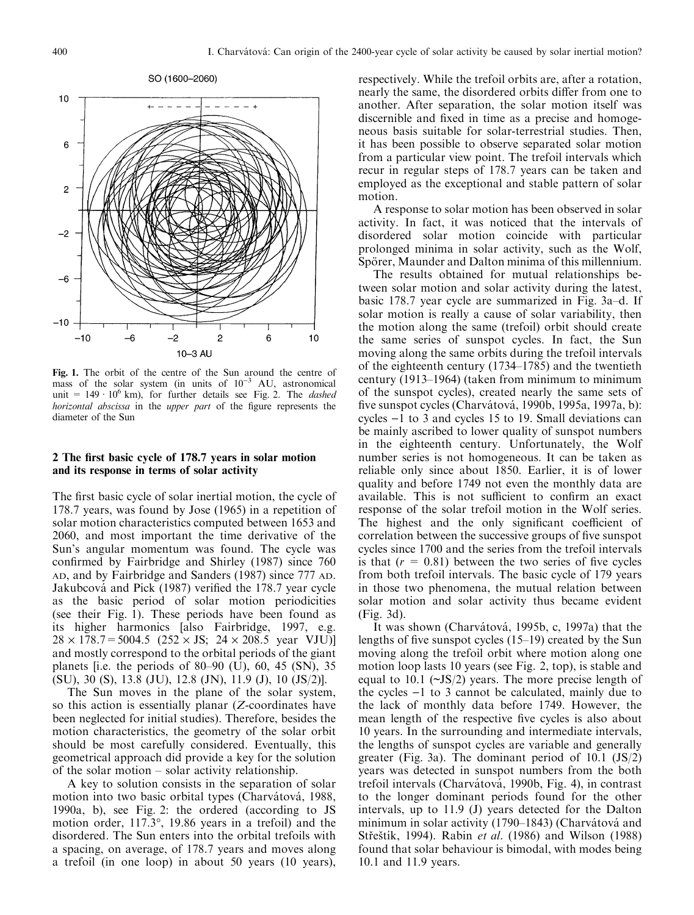

Fig. 1. The orbit of the centre of the Sun around the centre of mass of the solar system (in units of  $10^{-3}$  AU, astronomical unit =  $149 \cdot 10^6$  km), for further details see Fig. 2. The *dashed* horizontal abscissa in the upper part of the figure represents the diameter of the Sun

#### 2 The first basic cycle of 178.7 years in solar motion and its response in terms of solar activity

The first basic cycle of solar inertial motion, the cycle of 178.7 years, was found by Jose (1965) in a repetition of solar motion characteristics computed between 1653 and 2060, and most important the time derivative of the Sun's angular momentum was found. The cycle was confirmed by Fairbridge and Shirley (1987) since 760 AD, and by Fairbridge and Sanders (1987) since 777 AD. Jakubcová and Pick (1987) verified the 178.7 year cycle as the basic period of solar motion periodicities (see their Fig. 1). These periods have been found as its higher harmonics [also Fairbridge, 1997, e.g.  $28 \times 178.7 = 5004.5$  ( $252 \times JS$ ;  $24 \times 208.5$  year VJU)] and mostly correspond to the orbital periods of the giant planets [i.e. the periods of 80–90 (U), 60, 45 (SN), 35 (SU), 30 (S), 13.8 (JU), 12.8 (JN), 11.9 (J), 10 (JS/2)].

The Sun moves in the plane of the solar system, so this action is essentially planar (Z-coordinates have been neglected for initial studies). Therefore, besides the motion characteristics, the geometry of the solar orbit should be most carefully considered. Eventually, this geometrical approach did provide a key for the solution of the solar motion  $-$  solar activity relationship.

A key to solution consists in the separation of solar motion into two basic orbital types (Charvátová, 1988, 1990a, b), see Fig. 2: the ordered (according to JS motion order, 117.3°, 19.86 years in a trefoil) and the disordered. The Sun enters into the orbital trefoils with a spacing, on average, of 178.7 years and moves along a trefoil (in one loop) in about 50 years (10 years), respectively. While the trefoil orbits are, after a rotation, nearly the same, the disordered orbits differ from one to another. After separation, the solar motion itself was discernible and fixed in time as a precise and homogeneous basis suitable for solar-terrestrial studies. Then, it has been possible to observe separated solar motion from a particular view point. The trefoil intervals which recur in regular steps of 178.7 years can be taken and employed as the exceptional and stable pattern of solar motion.

A response to solar motion has been observed in solar activity. In fact, it was noticed that the intervals of disordered solar motion coincide with particular prolonged minima in solar activity, such as the Wolf, Spörer, Maunder and Dalton minima of this millennium.

The results obtained for mutual relationships between solar motion and solar activity during the latest, basic 178.7 year cycle are summarized in Fig. 3a-d. If solar motion is really a cause of solar variability, then the motion along the same (trefoil) orbit should create the same series of sunspot cycles. In fact, the Sun moving along the same orbits during the trefoil intervals of the eighteenth century  $(1734-1785)$  and the twentieth century  $(1913-1964)$  (taken from minimum to minimum of the sunspot cycles), created nearly the same sets of five sunspot cycles (Charvátová, 1990b, 1995a, 1997a, b): cycles  $-1$  to 3 and cycles 15 to 19. Small deviations can be mainly ascribed to lower quality of sunspot numbers in the eighteenth century. Unfortunately, the Wolf number series is not homogeneous. It can be taken as reliable only since about 1850. Earlier, it is of lower quality and before 1749 not even the monthly data are available. This is not sufficient to confirm an exact response of the solar trefoil motion in the Wolf series. The highest and the only significant coefficient of correlation between the successive groups of five sunspot cycles since 1700 and the series from the trefoil intervals is that  $(r = 0.81)$  between the two series of five cycles from both trefoil intervals. The basic cycle of 179 years in those two phenomena, the mutual relation between solar motion and solar activity thus became evident (Fig. 3d).

It was shown (Charvátová, 1995b, c, 1997a) that the lengths of five sunspot cycles  $(15-19)$  created by the Sun moving along the trefoil orbit where motion along one motion loop lasts 10 years (see Fig. 2, top), is stable and equal to 10.1 ( $\sim$ JS/2) years. The more precise length of the cycles  $-1$  to 3 cannot be calculated, mainly due to the lack of monthly data before 1749. However, the mean length of the respective five cycles is also about 10 years. In the surrounding and intermediate intervals, the lengths of sunspot cycles are variable and generally greater (Fig. 3a). The dominant period of  $10.1$  (JS/2) years was detected in sunspot numbers from the both trefoil intervals (Charvátová, 1990b, Fig. 4), in contrast to the longer dominant periods found for the other intervals, up to 11.9 (J) years detected for the Dalton minimum in solar activity  $(1790-1843)$  (Charvátová and Střeštík, 1994). Rabin et al. (1986) and Wilson (1988) found that solar behaviour is bimodal, with modes being 10.1 and 11.9 years.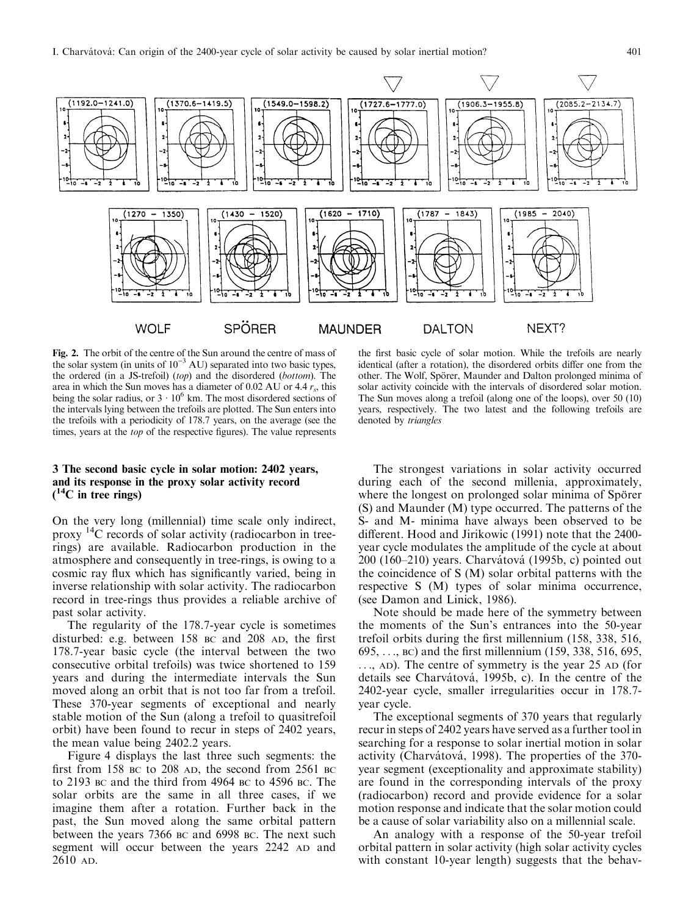

Fig. 2. The orbit of the centre of the Sun around the centre of mass of the solar system (in units of  $10^{-3}$  AU) separated into two basic types, the ordered (in a JS-trefoil) (top) and the disordered (bottom). The area in which the Sun moves has a diameter of 0.02 AU or 4.4  $r_s$ , this being the solar radius, or  $3 \cdot 10^6$  km. The most disordered sections of the intervals lying between the trefoils are plotted. The Sun enters into the trefoils with a periodicity of 178.7 years, on the average (see the times, years at the *top* of the respective figures). The value represents

### 3 The second basic cycle in solar motion: 2402 years, and its response in the proxy solar activity record  $(^{14}C$  in tree rings)

On the very long (millennial) time scale only indirect, proxy 14C records of solar activity (radiocarbon in treerings) are available. Radiocarbon production in the atmosphere and consequently in tree-rings, is owing to a cosmic ray flux which has significantly varied, being in inverse relationship with solar activity. The radiocarbon record in tree-rings thus provides a reliable archive of past solar activity.

The regularity of the 178.7-year cycle is sometimes disturbed: e.g. between  $158$  BC and  $208$  AD, the first 178.7-year basic cycle (the interval between the two consecutive orbital trefoils) was twice shortened to 159 years and during the intermediate intervals the Sun moved along an orbit that is not too far from a trefoil. These 370-year segments of exceptional and nearly stable motion of the Sun (along a trefoil to quasitrefoil orbit) have been found to recur in steps of 2402 years, the mean value being 2402.2 years.

Figure 4 displays the last three such segments: the first from 158 BC to 208 AD, the second from  $2561$  BC to 2193 BC and the third from 4964 BC to 4596 BC. The solar orbits are the same in all three cases, if we imagine them after a rotation. Further back in the past, the Sun moved along the same orbital pattern between the years 7366 BC and 6998 BC. The next such segment will occur between the years 2242 AD and 2610 AD.

the first basic cycle of solar motion. While the trefoils are nearly identical (after a rotation), the disordered orbits differ one from the other. The Wolf, Spörer, Maunder and Dalton prolonged minima of solar activity coincide with the intervals of disordered solar motion. The Sun moves along a trefoil (along one of the loops), over 50 (10) years, respectively. The two latest and the following trefoils are denoted by triangles

The strongest variations in solar activity occurred during each of the second millenia, approximately, where the longest on prolonged solar minima of Spörer (S) and Maunder (M) type occurred. The patterns of the S- and M- minima have always been observed to be different. Hood and Jirikowic (1991) note that the 2400year cycle modulates the amplitude of the cycle at about  $200$  (160–210) years. Charvátová (1995b, c) pointed out the coincidence of S (M) solar orbital patterns with the respective S (M) types of solar minima occurrence, (see Damon and Linick, 1986).

Note should be made here of the symmetry between the moments of the Sun's entrances into the 50-year trefoil orbits during the first millennium (158, 338, 516, 695, ..., BC) and the first millennium (159, 338, 516, 695, ..., AD). The centre of symmetry is the year 25 AD (for details see Charvátová, 1995b, c). In the centre of the 2402-year cycle, smaller irregularities occur in 178.7 year cycle.

The exceptional segments of 370 years that regularly recur in steps of 2402 years have served as a further tool in searching for a response to solar inertial motion in solar activity (Charvátová, 1998). The properties of the 370year segment (exceptionality and approximate stability) are found in the corresponding intervals of the proxy (radiocarbon) record and provide evidence for a solar motion response and indicate that the solar motion could be a cause of solar variability also on a millennial scale.

An analogy with a response of the 50-year trefoil orbital pattern in solar activity (high solar activity cycles with constant 10-year length) suggests that the behav-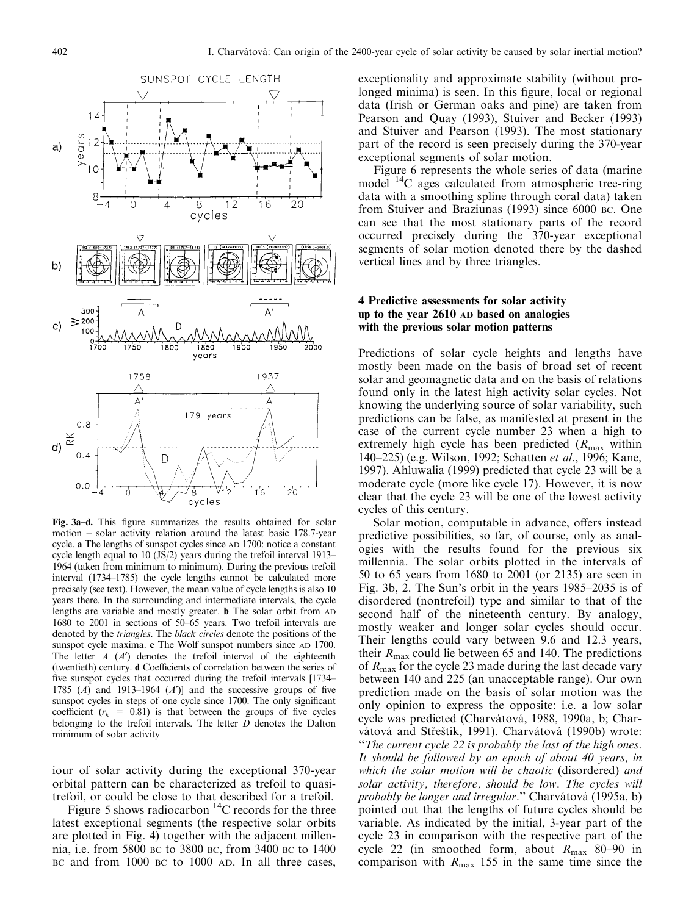

Fig. 3a-d. This figure summarizes the results obtained for solar motion  $-$  solar activity relation around the latest basic 178.7-year cycle. a The lengths of sunspot cycles since AD 1700: notice a constant cycle length equal to  $10$  (JS/2) years during the trefoil interval 1913 $-$ 1964 (taken from minimum to minimum). During the previous trefoil interval (1734-1785) the cycle lengths cannot be calculated more precisely (see text). However, the mean value of cycle lengths is also 10 years there. In the surrounding and intermediate intervals, the cycle lengths are variable and mostly greater. b The solar orbit from AD 1680 to 2001 in sections of  $50-65$  years. Two trefoil intervals are denoted by the triangles. The black circles denote the positions of the sunspot cycle maxima. c The Wolf sunspot numbers since AD 1700. The letter  $A(A')$  denotes the trefoil interval of the eighteenth (twentieth) century. d Coefficients of correlation between the series of five sunspot cycles that occurred during the trefoil intervals [1734-1785 (A) and 1913-1964 (A')] and the successive groups of five sunspot cycles in steps of one cycle since 1700. The only significant coefficient ( $r_k$  = 0.81) is that between the groups of five cycles belonging to the trefoil intervals. The letter  $\overline{D}$  denotes the Dalton minimum of solar activity

iour of solar activity during the exceptional 370-year orbital pattern can be characterized as trefoil to quasitrefoil, or could be close to that described for a trefoil.

Figure 5 shows radiocarbon  $^{14}$ C records for the three latest exceptional segments (the respective solar orbits are plotted in Fig. 4) together with the adjacent millennia, i.e. from 5800 BC to 3800 BC, from 3400 BC to 1400 BC and from 1000 BC to 1000 AD. In all three cases,

exceptionality and approximate stability (without prolonged minima) is seen. In this figure, local or regional data (Irish or German oaks and pine) are taken from Pearson and Quay (1993), Stuiver and Becker (1993) and Stuiver and Pearson (1993). The most stationary part of the record is seen precisely during the 370-year exceptional segments of solar motion.

Figure 6 represents the whole series of data (marine model <sup>14</sup>C ages calculated from atmospheric tree-ring data with a smoothing spline through coral data) taken from Stuiver and Braziunas (1993) since 6000 BC. One can see that the most stationary parts of the record occurred precisely during the 370-year exceptional segments of solar motion denoted there by the dashed vertical lines and by three triangles.

#### 4 Predictive assessments for solar activity up to the year 2610 AD based on analogies with the previous solar motion patterns

Predictions of solar cycle heights and lengths have mostly been made on the basis of broad set of recent solar and geomagnetic data and on the basis of relations found only in the latest high activity solar cycles. Not knowing the underlying source of solar variability, such predictions can be false, as manifested at present in the case of the current cycle number 23 when a high to extremely high cycle has been predicted  $(R_{\text{max}}$  within 140–225) (e.g. Wilson, 1992; Schatten et al., 1996; Kane, 1997). Ahluwalia (1999) predicted that cycle 23 will be a moderate cycle (more like cycle 17). However, it is now clear that the cycle 23 will be one of the lowest activity cycles of this century.

Solar motion, computable in advance, offers instead predictive possibilities, so far, of course, only as analogies with the results found for the previous six millennia. The solar orbits plotted in the intervals of 50 to 65 years from 1680 to 2001 (or 2135) are seen in Fig. 3b, 2. The Sun's orbit in the years  $1985-2035$  is of disordered (nontrefoil) type and similar to that of the second half of the nineteenth century. By analogy, mostly weaker and longer solar cycles should occur. Their lengths could vary between 9.6 and 12.3 years, their  $R_{\text{max}}$  could lie between 65 and 140. The predictions of  $R_{\text{max}}$  for the cycle 23 made during the last decade vary between 140 and 225 (an unacceptable range). Our own prediction made on the basis of solar motion was the only opinion to express the opposite: i.e. a low solar cycle was predicted (Charvátová, 1988, 1990a, b; Charvátová and Střeštík, 1991). Charvátová (1990b) wrote: "The current cycle 22 is probably the last of the high ones. It should be followed by an epoch of about 40 years, in which the solar motion will be chaotic (disordered) and solar activity, therefore, should be low. The cycles will probably be longer and irregular." Charvátová (1995a, b) pointed out that the lengths of future cycles should be variable. As indicated by the initial, 3-year part of the cycle 23 in comparison with the respective part of the cycle 22 (in smoothed form, about  $R_{\text{max}}$  80-90 in comparison with  $R_{\text{max}}$  155 in the same time since the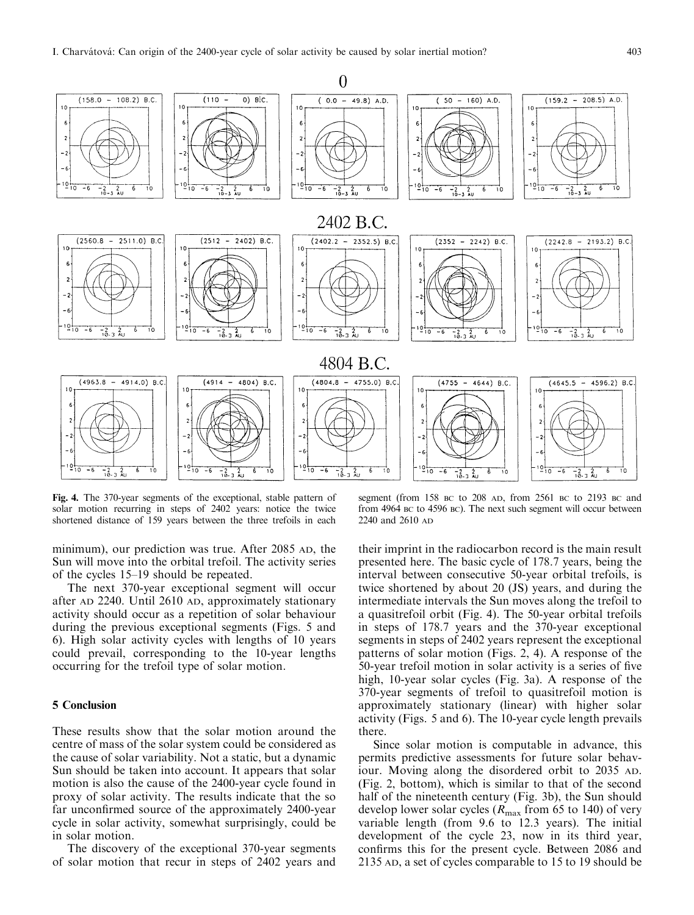

Fig. 4. The 370-year segments of the exceptional, stable pattern of solar motion recurring in steps of 2402 years: notice the twice shortened distance of 159 years between the three trefoils in each

minimum), our prediction was true. After 2085 AD, the Sun will move into the orbital trefoil. The activity series of the cycles 15–19 should be repeated.

The next 370-year exceptional segment will occur after AD 2240. Until 2610 AD, approximately stationary activity should occur as a repetition of solar behaviour during the previous exceptional segments (Figs. 5 and 6). High solar activity cycles with lengths of 10 years could prevail, corresponding to the 10-year lengths occurring for the trefoil type of solar motion.

### 5 Conclusion

These results show that the solar motion around the centre of mass of the solar system could be considered as the cause of solar variability. Not a static, but a dynamic Sun should be taken into account. It appears that solar motion is also the cause of the 2400-year cycle found in proxy of solar activity. The results indicate that the so far unconfirmed source of the approximately 2400-year cycle in solar activity, somewhat surprisingly, could be in solar motion.

The discovery of the exceptional 370-year segments of solar motion that recur in steps of 2402 years and

segment (from 158 BC to 208 AD, from 2561 BC to 2193 BC and from 4964 BC to 4596 BC). The next such segment will occur between 2240 and 2610 AD

their imprint in the radiocarbon record is the main result presented here. The basic cycle of 178.7 years, being the interval between consecutive 50-year orbital trefoils, is twice shortened by about 20 (JS) years, and during the intermediate intervals the Sun moves along the trefoil to a quasitrefoil orbit (Fig. 4). The 50-year orbital trefoils in steps of 178.7 years and the 370-year exceptional segments in steps of 2402 years represent the exceptional patterns of solar motion (Figs. 2, 4). A response of the 50-year trefoil motion in solar activity is a series of five high, 10-year solar cycles (Fig. 3a). A response of the 370-year segments of trefoil to quasitrefoil motion is approximately stationary (linear) with higher solar activity (Figs. 5 and 6). The 10-year cycle length prevails there.

Since solar motion is computable in advance, this permits predictive assessments for future solar behaviour. Moving along the disordered orbit to 2035 AD. (Fig. 2, bottom), which is similar to that of the second half of the nineteenth century (Fig. 3b), the Sun should develop lower solar cycles ( $R_{\text{max}}$  from 65 to 140) of very variable length (from 9.6 to 12.3 years). The initial development of the cycle 23, now in its third year, confirms this for the present cycle. Between 2086 and 2135 AD, a set of cycles comparable to 15 to 19 should be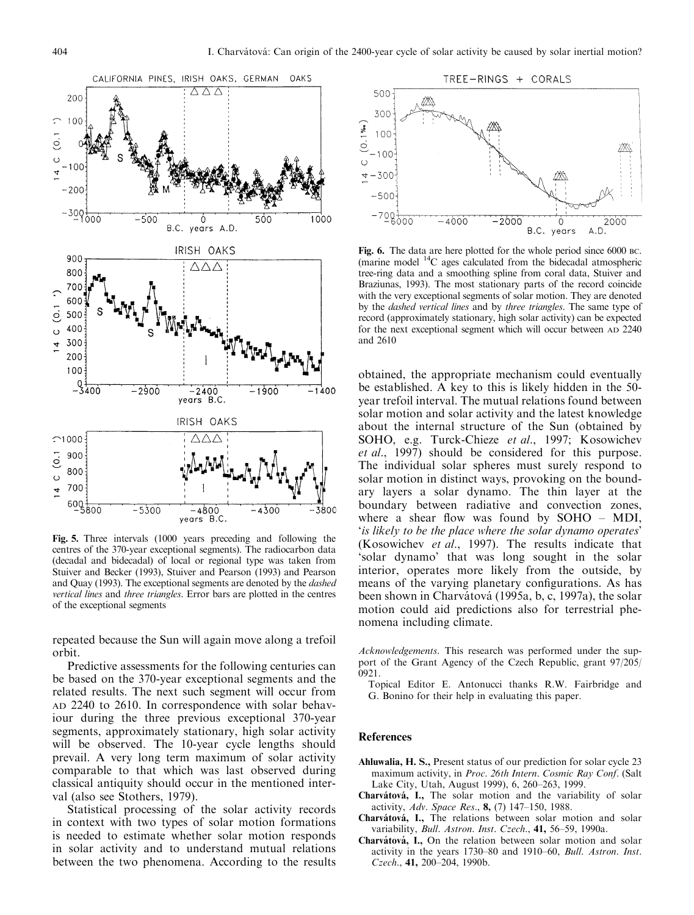

Fig. 5. Three intervals (1000 years preceding and following the centres of the 370-year exceptional segments). The radiocarbon data (decadal and bidecadal) of local or regional type was taken from Stuiver and Becker (1993), Stuiver and Pearson (1993) and Pearson and Quay (1993). The exceptional segments are denoted by the dashed vertical lines and three triangles. Error bars are plotted in the centres of the exceptional segments

repeated because the Sun will again move along a trefoil orbit.

Predictive assessments for the following centuries can be based on the 370-year exceptional segments and the related results. The next such segment will occur from AD 2240 to 2610. In correspondence with solar behaviour during the three previous exceptional 370-year segments, approximately stationary, high solar activity will be observed. The 10-year cycle lengths should prevail. A very long term maximum of solar activity comparable to that which was last observed during classical antiquity should occur in the mentioned interval (also see Stothers, 1979).

Statistical processing of the solar activity records in context with two types of solar motion formations is needed to estimate whether solar motion responds in solar activity and to understand mutual relations between the two phenomena. According to the results



Fig. 6. The data are here plotted for the whole period since 6000 BC. (marine model  $^{14}$ C ages calculated from the bidecadal atmospheric tree-ring data and a smoothing spline from coral data, Stuiver and Braziunas, 1993). The most stationary parts of the record coincide with the very exceptional segments of solar motion. They are denoted by the dashed vertical lines and by three triangles. The same type of record (approximately stationary, high solar activity) can be expected for the next exceptional segment which will occur between AD 2240 and 2610

obtained, the appropriate mechanism could eventually be established. A key to this is likely hidden in the 50 year trefoil interval. The mutual relations found between solar motion and solar activity and the latest knowledge about the internal structure of the Sun (obtained by SOHO, e.g. Turck-Chieze et al., 1997; Kosowichev et al., 1997) should be considered for this purpose. The individual solar spheres must surely respond to solar motion in distinct ways, provoking on the boundary layers a solar dynamo. The thin layer at the boundary between radiative and convection zones, where a shear flow was found by  $SOHO - MDI$ , `is likely to be the place where the solar dynamo operates' (Kosowichev et al., 1997). The results indicate that `solar dynamo' that was long sought in the solar interior, operates more likely from the outside, by means of the varying planetary configurations. As has been shown in Charvátová (1995a, b, c, 1997a), the solar motion could aid predictions also for terrestrial phenomena including climate.

Acknowledgements. This research was performed under the support of the Grant Agency of the Czech Republic, grant 97/205/ 0921.

Topical Editor E. Antonucci thanks R.W. Fairbridge and G. Bonino for their help in evaluating this paper.

#### References

- Ahluwalia, H. S., Present status of our prediction for solar cycle 23 maximum activity, in Proc. 26th Intern. Cosmic Ray Conf. (Salt Lake City, Utah, August 1999), 6, 260–263, 1999.
- Charvátová, I., The solar motion and the variability of solar activity, Adv. Space Res.,  $8$ , (7) 147-150, 1988.
- Charvátová, I., The relations between solar motion and solar variability, Bull. Astron. Inst. Czech., 41, 56-59, 1990a.
- Charvátová, I., On the relation between solar motion and solar activity in the years 1730-80 and 1910-60, Bull. Astron. Inst. Czech., 41, 200-204, 1990b.